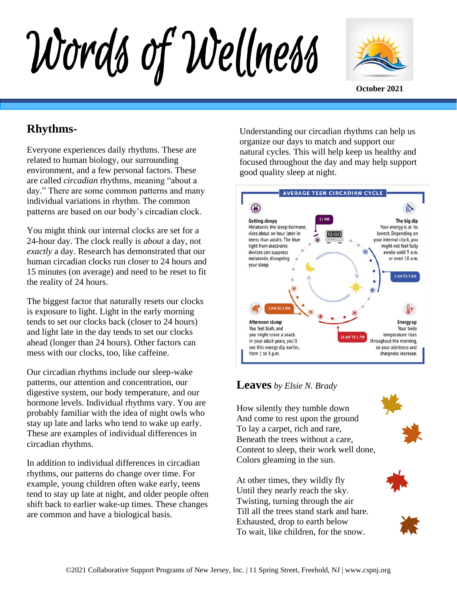Words of Wellness



## **Rhythms-**

Everyone experiences daily rhythms. These are related to human biology, our surrounding environment, and a few personal factors. These are called *circadian* rhythms, meaning "about a day." There are some common patterns and many individual variations in rhythm. The common patterns are based on our body's circadian clock.

You might think our internal clocks are set for a 24-hour day. The clock really is *about* a day, not *exactly* a day. Research has demonstrated that our human circadian clocks run closer to 24 hours and 15 minutes (on average) and need to be reset to fit the reality of 24 hours.

The biggest factor that naturally resets our clocks is exposure to light. Light in the early morning tends to set our clocks back (closer to 24 hours) and light late in the day tends to set our clocks ahead (longer than 24 hours). Other factors can mess with our clocks, too, like caffeine.

Our circadian rhythms include our sleep-wake patterns, our attention and concentration, our digestive system, our body temperature, and our hormone levels. Individual rhythms vary. You are probably familiar with the idea of night owls who stay up late and larks who tend to wake up early. These are examples of individual differences in circadian rhythms.

In addition to individual differences in circadian rhythms, our patterns do change over time. For example, young children often wake early, teens tend to stay up late at night, and older people often shift back to earlier wake-up times. These changes are common and have a biological basis.

Understanding our circadian rhythms can help us organize our days to match and support our natural cycles. This will help keep us healthy and focused throughout the day and may help support good quality sleep at night.



### **Leaves** *by Elsie N. Brady*

How silently they tumble down And come to rest upon the ground To lay a carpet, rich and rare, Beneath the trees without a care, Content to sleep, their work well done, Colors gleaming in the sun.

At other times, they wildly fly Until they nearly reach the sky. Twisting, turning through the air Till all the trees stand stark and bare. Exhausted, drop to earth below To wait, like children, for the snow.



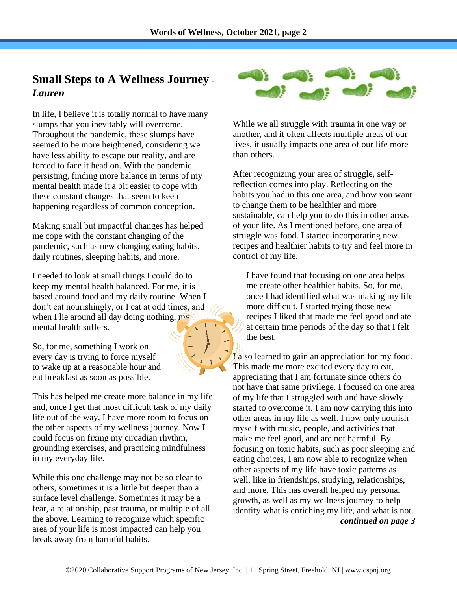## **Small Steps to A Wellness Journey -** *Lauren*

In life, I believe it is totally normal to have many slumps that you inevitably will overcome. Throughout the pandemic, these slumps have seemed to be more heightened, considering we have less ability to escape our reality, and are forced to face it head on. With the pandemic persisting, finding more balance in terms of my mental health made it a bit easier to cope with these constant changes that seem to keep happening regardless of common conception.

Making small but impactful changes has helped me cope with the constant changing of the pandemic, such as new changing eating habits, daily routines, sleeping habits, and more.

I needed to look at small things I could do to keep my mental health balanced. For me, it is based around food and my daily routine. When I don't eat nourishingly, or I eat at odd times, and when I lie around all day doing nothing, my mental health suffers.

So, for me, something I work on every day is trying to force myself to wake up at a reasonable hour and eat breakfast as soon as possible.

This has helped me create more balance in my life and, once I get that most difficult task of my daily life out of the way, I have more room to focus on the other aspects of my wellness journey. Now I could focus on fixing my circadian rhythm, grounding exercises, and practicing mindfulness in my everyday life.

While this one challenge may not be so clear to others, sometimes it is a little bit deeper than a surface level challenge. Sometimes it may be a fear, a relationship, past trauma, or multiple of all the above. Learning to recognize which specific area of your life is most impacted can help you break away from harmful habits.



While we all struggle with trauma in one way or another, and it often affects multiple areas of our lives, it usually impacts one area of our life more than others.

After recognizing your area of struggle, selfreflection comes into play. Reflecting on the habits you had in this one area, and how you want to change them to be healthier and more sustainable, can help you to do this in other areas of your life. As I mentioned before, one area of struggle was food. I started incorporating new recipes and healthier habits to try and feel more in control of my life.

I have found that focusing on one area helps me create other healthier habits. So, for me, once I had identified what was making my life more difficult, I started trying those new recipes I liked that made me feel good and ate at certain time periods of the day so that I felt the best.

**I**/also learned to gain an appreciation for my food. This made me more excited every day to eat, appreciating that I am fortunate since others do not have that same privilege. I focused on one area of my life that I struggled with and have slowly started to overcome it. I am now carrying this into other areas in my life as well. I now only nourish myself with music, people, and activities that make me feel good, and are not harmful. By focusing on toxic habits, such as poor sleeping and eating choices, I am now able to recognize when other aspects of my life have toxic patterns as well, like in friendships, studying, relationships, and more. This has overall helped my personal growth, as well as my wellness journey to help identify what is enriching my life, and what is not. *continued on page 3*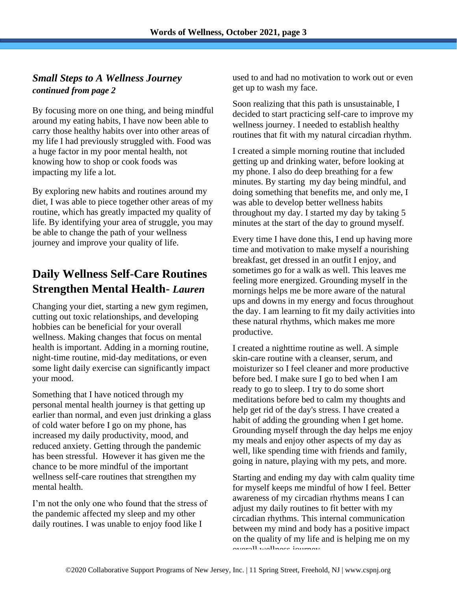### *Small Steps to A Wellness Journey continued from page 2*

By focusing more on one thing, and being mindful around my eating habits, I have now been able to carry those healthy habits over into other areas of my life I had previously struggled with. Food was a huge factor in my poor mental health, not knowing how to shop or cook foods was impacting my life a lot.

By exploring new habits and routines around my diet, I was able to piece together other areas of my routine, which has greatly impacted my quality of life. By identifying your area of struggle, you may be able to change the path of your wellness journey and improve your quality of life.

# **Daily Wellness Self-Care Routines Strengthen Mental Health-** *Lauren*

Changing your diet, starting a new gym regimen, cutting out toxic relationships, and developing hobbies can be beneficial for your overall wellness. Making changes that focus on mental health is important. Adding in a morning routine, night-time routine, mid-day meditations, or even some light daily exercise can significantly impact your mood.

Something that I have noticed through my personal mental health journey is that getting up earlier than normal, and even just drinking a glass of cold water before I go on my phone, has increased my daily productivity, mood, and reduced anxiety. Getting through the pandemic has been stressful. However it has given me the chance to be more mindful of the important wellness self-care routines that strengthen my mental health.

I'm not the only one who found that the stress of the pandemic affected my sleep and my other daily routines. I was unable to enjoy food like I

used to and had no motivation to work out or even get up to wash my face.

Soon realizing that this path is unsustainable, I decided to start practicing self-care to improve my wellness journey. I needed to establish healthy routines that fit with my natural circadian rhythm.

I created a simple morning routine that included getting up and drinking water, before looking at my phone. I also do deep breathing for a few minutes. By starting my day being mindful, and doing something that benefits me, and only me, I was able to develop better wellness habits throughout my day. I started my day by taking 5 minutes at the start of the day to ground myself.

Every time I have done this, I end up having more time and motivation to make myself a nourishing breakfast, get dressed in an outfit I enjoy, and sometimes go for a walk as well. This leaves me feeling more energized. Grounding myself in the mornings helps me be more aware of the natural ups and downs in my energy and focus throughout the day. I am learning to fit my daily activities into these natural rhythms, which makes me more productive.

I created a nighttime routine as well. A simple skin-care routine with a cleanser, serum, and moisturizer so I feel cleaner and more productive before bed. I make sure I go to bed when I am ready to go to sleep. I try to do some short meditations before bed to calm my thoughts and help get rid of the day's stress. I have created a habit of adding the grounding when I get home. Grounding myself through the day helps me enjoy my meals and enjoy other aspects of my day as well, like spending time with friends and family, going in nature, playing with my pets, and more.

Starting and ending my day with calm quality time for myself keeps me mindful of how I feel. Better awareness of my circadian rhythms means I can adjust my daily routines to fit better with my circadian rhythms. This internal communication between my mind and body has a positive impact on the quality of my life and is helping me on my overall wellness journey.